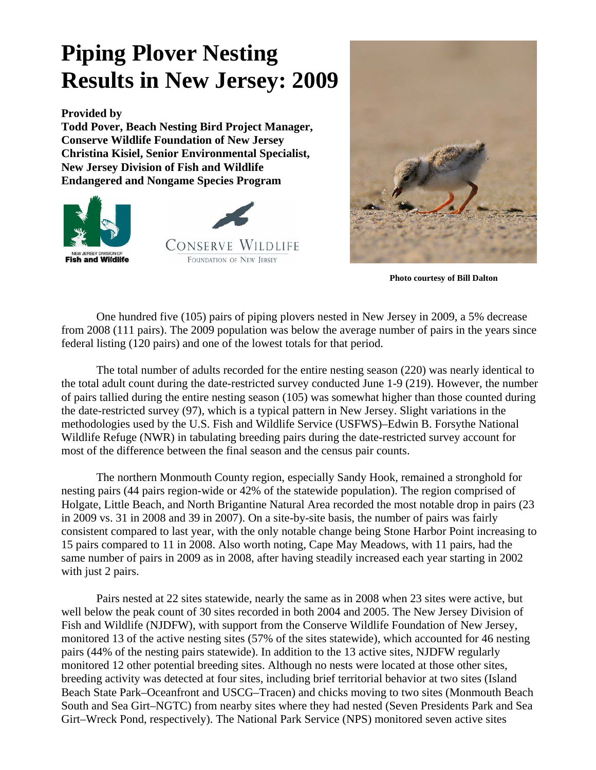## **Piping Plover Nesting Results in New Jersey: 2009**

**Provided by** 

**Todd Pover, Beach Nesting Bird Project Manager, Conserve Wildlife Foundation of New Jersey Christina Kisiel, Senior Environmental Specialist, New Jersey Division of Fish and Wildlife Endangered and Nongame Species Program** 





 **Photo courtesy of Bill Dalton**

 One hundred five (105) pairs of piping plovers nested in New Jersey in 2009, a 5% decrease from 2008 (111 pairs). The 2009 population was below the average number of pairs in the years since federal listing (120 pairs) and one of the lowest totals for that period.

 The total number of adults recorded for the entire nesting season (220) was nearly identical to the total adult count during the date-restricted survey conducted June 1-9 (219). However, the number of pairs tallied during the entire nesting season (105) was somewhat higher than those counted during the date-restricted survey (97), which is a typical pattern in New Jersey. Slight variations in the methodologies used by the U.S. Fish and Wildlife Service (USFWS)–Edwin B. Forsythe National Wildlife Refuge (NWR) in tabulating breeding pairs during the date-restricted survey account for most of the difference between the final season and the census pair counts.

 The northern Monmouth County region, especially Sandy Hook, remained a stronghold for nesting pairs (44 pairs region-wide or 42% of the statewide population). The region comprised of Holgate, Little Beach, and North Brigantine Natural Area recorded the most notable drop in pairs (23 in 2009 vs. 31 in 2008 and 39 in 2007). On a site-by-site basis, the number of pairs was fairly consistent compared to last year, with the only notable change being Stone Harbor Point increasing to 15 pairs compared to 11 in 2008. Also worth noting, Cape May Meadows, with 11 pairs, had the same number of pairs in 2009 as in 2008, after having steadily increased each year starting in 2002 with just 2 pairs.

 Pairs nested at 22 sites statewide, nearly the same as in 2008 when 23 sites were active, but well below the peak count of 30 sites recorded in both 2004 and 2005. The New Jersey Division of Fish and Wildlife (NJDFW), with support from the Conserve Wildlife Foundation of New Jersey, monitored 13 of the active nesting sites (57% of the sites statewide), which accounted for 46 nesting pairs (44% of the nesting pairs statewide). In addition to the 13 active sites, NJDFW regularly monitored 12 other potential breeding sites. Although no nests were located at those other sites, breeding activity was detected at four sites, including brief territorial behavior at two sites (Island Beach State Park–Oceanfront and USCG–Tracen) and chicks moving to two sites (Monmouth Beach South and Sea Girt–NGTC) from nearby sites where they had nested (Seven Presidents Park and Sea Girt–Wreck Pond, respectively). The National Park Service (NPS) monitored seven active sites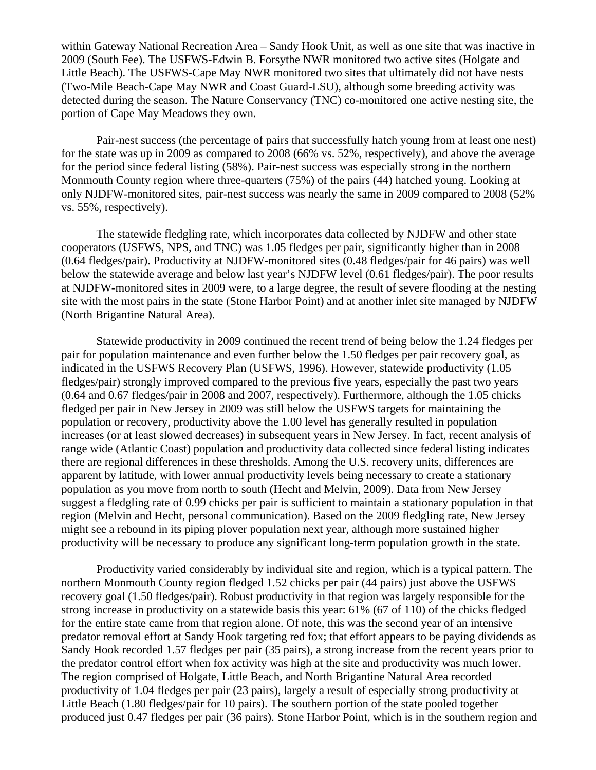within Gateway National Recreation Area – Sandy Hook Unit, as well as one site that was inactive in 2009 (South Fee). The USFWS-Edwin B. Forsythe NWR monitored two active sites (Holgate and Little Beach). The USFWS-Cape May NWR monitored two sites that ultimately did not have nests (Two-Mile Beach-Cape May NWR and Coast Guard-LSU), although some breeding activity was detected during the season. The Nature Conservancy (TNC) co-monitored one active nesting site, the portion of Cape May Meadows they own.

 Pair-nest success (the percentage of pairs that successfully hatch young from at least one nest) for the state was up in 2009 as compared to 2008 (66% vs. 52%, respectively), and above the average for the period since federal listing (58%). Pair-nest success was especially strong in the northern Monmouth County region where three-quarters (75%) of the pairs (44) hatched young. Looking at only NJDFW-monitored sites, pair-nest success was nearly the same in 2009 compared to 2008 (52% vs. 55%, respectively).

The statewide fledgling rate, which incorporates data collected by NJDFW and other state cooperators (USFWS, NPS, and TNC) was 1.05 fledges per pair, significantly higher than in 2008 (0.64 fledges/pair). Productivity at NJDFW-monitored sites (0.48 fledges/pair for 46 pairs) was well below the statewide average and below last year's NJDFW level (0.61 fledges/pair). The poor results at NJDFW-monitored sites in 2009 were, to a large degree, the result of severe flooding at the nesting site with the most pairs in the state (Stone Harbor Point) and at another inlet site managed by NJDFW (North Brigantine Natural Area).

Statewide productivity in 2009 continued the recent trend of being below the 1.24 fledges per pair for population maintenance and even further below the 1.50 fledges per pair recovery goal, as indicated in the USFWS Recovery Plan (USFWS, 1996). However, statewide productivity (1.05 fledges/pair) strongly improved compared to the previous five years, especially the past two years (0.64 and 0.67 fledges/pair in 2008 and 2007, respectively). Furthermore, although the 1.05 chicks fledged per pair in New Jersey in 2009 was still below the USFWS targets for maintaining the population or recovery, productivity above the 1.00 level has generally resulted in population increases (or at least slowed decreases) in subsequent years in New Jersey. In fact, recent analysis of range wide (Atlantic Coast) population and productivity data collected since federal listing indicates there are regional differences in these thresholds. Among the U.S. recovery units, differences are apparent by latitude, with lower annual productivity levels being necessary to create a stationary population as you move from north to south (Hecht and Melvin, 2009). Data from New Jersey suggest a fledgling rate of 0.99 chicks per pair is sufficient to maintain a stationary population in that region (Melvin and Hecht, personal communication). Based on the 2009 fledgling rate, New Jersey might see a rebound in its piping plover population next year, although more sustained higher productivity will be necessary to produce any significant long-term population growth in the state.

Productivity varied considerably by individual site and region, which is a typical pattern. The northern Monmouth County region fledged 1.52 chicks per pair (44 pairs) just above the USFWS recovery goal (1.50 fledges/pair). Robust productivity in that region was largely responsible for the strong increase in productivity on a statewide basis this year: 61% (67 of 110) of the chicks fledged for the entire state came from that region alone. Of note, this was the second year of an intensive predator removal effort at Sandy Hook targeting red fox; that effort appears to be paying dividends as Sandy Hook recorded 1.57 fledges per pair (35 pairs), a strong increase from the recent years prior to the predator control effort when fox activity was high at the site and productivity was much lower. The region comprised of Holgate, Little Beach, and North Brigantine Natural Area recorded productivity of 1.04 fledges per pair (23 pairs), largely a result of especially strong productivity at Little Beach (1.80 fledges/pair for 10 pairs). The southern portion of the state pooled together produced just 0.47 fledges per pair (36 pairs). Stone Harbor Point, which is in the southern region and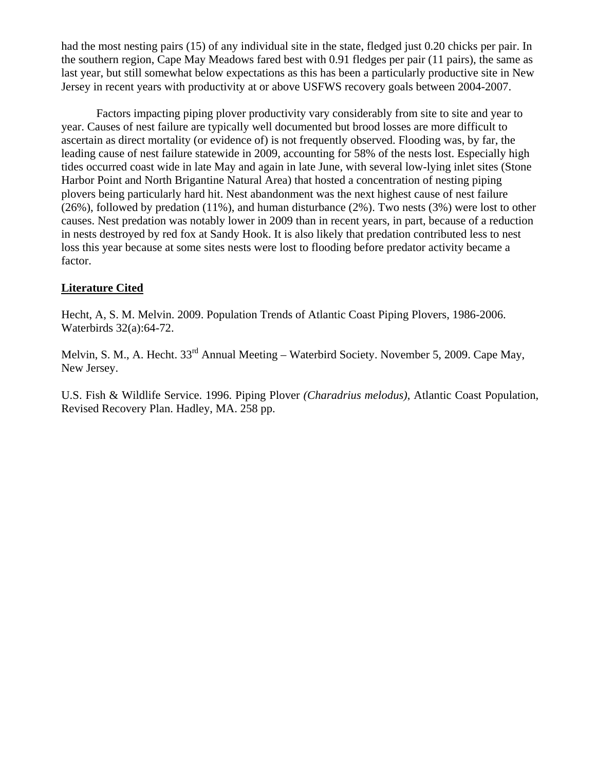had the most nesting pairs (15) of any individual site in the state, fledged just 0.20 chicks per pair. In the southern region, Cape May Meadows fared best with 0.91 fledges per pair (11 pairs), the same as last year, but still somewhat below expectations as this has been a particularly productive site in New Jersey in recent years with productivity at or above USFWS recovery goals between 2004-2007.

Factors impacting piping plover productivity vary considerably from site to site and year to year. Causes of nest failure are typically well documented but brood losses are more difficult to ascertain as direct mortality (or evidence of) is not frequently observed. Flooding was, by far, the leading cause of nest failure statewide in 2009, accounting for 58% of the nests lost. Especially high tides occurred coast wide in late May and again in late June, with several low-lying inlet sites (Stone Harbor Point and North Brigantine Natural Area) that hosted a concentration of nesting piping plovers being particularly hard hit. Nest abandonment was the next highest cause of nest failure (26%), followed by predation (11%), and human disturbance (2%). Two nests (3%) were lost to other causes. Nest predation was notably lower in 2009 than in recent years, in part, because of a reduction in nests destroyed by red fox at Sandy Hook. It is also likely that predation contributed less to nest loss this year because at some sites nests were lost to flooding before predator activity became a factor.

## **Literature Cited**

Hecht, A, S. M. Melvin. 2009. Population Trends of Atlantic Coast Piping Plovers, 1986-2006. Waterbirds 32(a):64-72.

Melvin, S. M., A. Hecht. 33<sup>rd</sup> Annual Meeting – Waterbird Society. November 5, 2009. Cape May, New Jersey.

U.S. Fish & Wildlife Service. 1996. Piping Plover *(Charadrius melodus)*, Atlantic Coast Population, Revised Recovery Plan. Hadley, MA. 258 pp.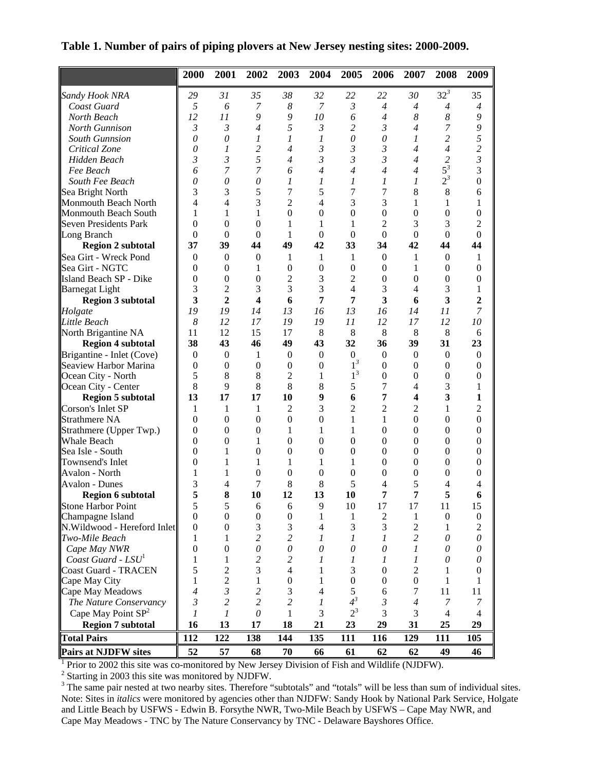**Table 1. Number of pairs of piping plovers at New Jersey nesting sites: 2000-2009.** 

|                                | 2000                    | 2001             | 2002                    | 2003                     | 2004             | 2005             | 2006             | 2007             | 2008             | 2009             |
|--------------------------------|-------------------------|------------------|-------------------------|--------------------------|------------------|------------------|------------------|------------------|------------------|------------------|
| Sandy Hook NRA                 | 29                      | 31               | 35                      | 38                       | 32               | 22               | 22               | 30               | $32^3$           | 35               |
| Coast Guard                    | 5                       | 6                | 7                       | 8                        | 7                | 3                | 4                | $\overline{4}$   | $\overline{4}$   | $\overline{4}$   |
| North Beach                    | 12                      | 11               | 9                       | 9                        | 10               | 6                | $\overline{4}$   | 8                | 8                | 9                |
| North Gunnison                 | $\mathfrak{Z}$          | $\mathfrak{Z}$   | 4                       | 5                        | 3                | $\overline{c}$   | 3                | $\overline{4}$   | $\overline{7}$   | 9                |
| <b>South Gunnsion</b>          | $\theta$                | $\theta$         | 1                       | $\boldsymbol{l}$         | 1                | 0                | $\theta$         | 1                | $\overline{c}$   | 5                |
| Critical Zone                  | $\theta$                | 1                | $\overline{\mathbf{c}}$ | $\overline{4}$           | 3                | 3                | 3                | 4                | $\overline{4}$   | $\overline{c}$   |
| Hidden Beach                   | 3                       | $\mathfrak{Z}$   | 5                       | $\overline{4}$           | 3                | $\mathfrak{Z}$   | 3                | 4                | $\overline{c}$   | $\mathfrak{Z}$   |
| Fee Beach                      | 6                       | 7                | 7                       | 6                        | $\overline{4}$   | $\overline{4}$   | $\overline{4}$   | $\overline{4}$   | $5^3$            | 3                |
| South Fee Beach                | $\theta$                | $\theta$         | 0                       | 1                        | 1                | 1                | 1                | 1                | $2^3$            | $\overline{0}$   |
| Sea Bright North               | 3                       | 3                | 5                       | 7                        | 5                | 7                | 7                | 8                | 8                | 6                |
| Monmouth Beach North           | 4                       | 4                | 3                       | $\overline{2}$           | 4                | 3                | 3                | 1                | 1                | 1                |
| Monmouth Beach South           | 1                       | 1                | 1                       | $\theta$                 | $\theta$         | $\boldsymbol{0}$ | $\boldsymbol{0}$ | $\boldsymbol{0}$ | $\boldsymbol{0}$ | 0                |
| <b>Seven Presidents Park</b>   | 0                       | $\overline{0}$   | $\boldsymbol{0}$        | 1                        | 1                | 1                | $\overline{2}$   | 3                | 3                | $\overline{c}$   |
| Long Branch                    | $\theta$                | $\boldsymbol{0}$ | $\boldsymbol{0}$        | 1                        | $\boldsymbol{0}$ | $\boldsymbol{0}$ | $\boldsymbol{0}$ | $\boldsymbol{0}$ | $\mathbf{0}$     | $\boldsymbol{0}$ |
| <b>Region 2 subtotal</b>       | 37                      | 39               | 44                      | 49                       | 42               | 33               | 34               | 42               | 44               | 44               |
| Sea Girt - Wreck Pond          | $\mathbf{0}$            | $\overline{0}$   | $\theta$                | 1                        | 1                | 1                | $\overline{0}$   | 1                | $\mathbf{0}$     | 1                |
| Sea Girt - NGTC                | $\boldsymbol{0}$        | $\boldsymbol{0}$ | 1                       | $\boldsymbol{0}$         | $\boldsymbol{0}$ | $\boldsymbol{0}$ | $\boldsymbol{0}$ | 1                | $\boldsymbol{0}$ | $\boldsymbol{0}$ |
| Island Beach SP - Dike         | $\boldsymbol{0}$        | $\boldsymbol{0}$ | $\boldsymbol{0}$        | $\overline{c}$           | 3                | $\overline{2}$   | $\boldsymbol{0}$ | $\boldsymbol{0}$ | $\boldsymbol{0}$ | $\boldsymbol{0}$ |
| <b>Barnegat Light</b>          | 3                       | $\overline{c}$   | 3                       | 3                        | 3                | 4                | 3                | 4                | 3                | 1                |
| <b>Region 3 subtotal</b>       | $\overline{\mathbf{3}}$ | $\overline{2}$   | 4                       | 6                        | 7                | 7                | 3                | 6                | 3                | $\overline{2}$   |
| Holgate                        | 19                      | 19               | 14                      | 13                       | 16               | 13               | 16               | 14               | 11               | 7                |
| Little Beach                   | 8                       | 12               | 17                      | 19                       | 19               | 11               | 12               | 17               | 12               | 10               |
| North Brigantine NA            | 11                      | 12               | 15                      | 17                       | 8                | 8                | 8                | 8                | 8                | 6                |
| <b>Region 4 subtotal</b>       | 38                      | 43               | 46                      | 49                       | 43               | 32               | 36               | 39               | 31               | 23               |
| Brigantine - Inlet (Cove)      | $\boldsymbol{0}$        | $\boldsymbol{0}$ | 1                       | $\boldsymbol{0}$         | $\boldsymbol{0}$ | $\overline{0}$   | $\boldsymbol{0}$ | $\mathbf{0}$     | $\boldsymbol{0}$ | $\boldsymbol{0}$ |
| Seaview Harbor Marina          | $\boldsymbol{0}$        | $\boldsymbol{0}$ | $\boldsymbol{0}$        | $\overline{0}$           | $\boldsymbol{0}$ | $1^3$            | $\boldsymbol{0}$ | $\theta$         | $\boldsymbol{0}$ | $\boldsymbol{0}$ |
| Ocean City - North             | 5                       | 8                | 8                       | $\overline{c}$           | 1                | $1^3$            | $\boldsymbol{0}$ | $\boldsymbol{0}$ | $\boldsymbol{0}$ | $\boldsymbol{0}$ |
| Ocean City - Center            | 8                       | 9                | 8                       | 8                        | 8                | 5                | 7                | $\overline{4}$   | 3                | 1                |
| <b>Region 5 subtotal</b>       | 13                      | 17               | 17                      | 10                       | 9                | 6                | 7                | 4                | 3                | 1                |
| Corson's Inlet SP              | 1                       | 1                | 1                       | 2                        | 3                | $\overline{c}$   | $\overline{c}$   | 2                | $\mathbf{1}$     | 2                |
| Strathmere NA                  | $\boldsymbol{0}$        | $\boldsymbol{0}$ | $\boldsymbol{0}$        | $\overline{0}$           | $\overline{0}$   | 1                | $\mathbf{1}$     | $\theta$         | $\boldsymbol{0}$ | $\overline{0}$   |
| Strathmere (Upper Twp.)        | $\boldsymbol{0}$        | $\boldsymbol{0}$ | $\boldsymbol{0}$        | 1                        | 1                | 1                | $\boldsymbol{0}$ | $\boldsymbol{0}$ | $\boldsymbol{0}$ | $\boldsymbol{0}$ |
| Whale Beach                    | $\theta$                | $\boldsymbol{0}$ | 1                       | 0                        | $\theta$         | 0                | $\boldsymbol{0}$ | $\theta$         | $\boldsymbol{0}$ | $\boldsymbol{0}$ |
| Sea Isle - South               | 0                       | 1                | $\boldsymbol{0}$        | $\boldsymbol{0}$         | $\boldsymbol{0}$ | $\boldsymbol{0}$ | $\boldsymbol{0}$ | $\theta$         | $\boldsymbol{0}$ | 0                |
| Townsend's Inlet               | 0                       | 1                | 1                       | 1                        | 1                | 1                | $\boldsymbol{0}$ | $\boldsymbol{0}$ | $\boldsymbol{0}$ | $\boldsymbol{0}$ |
| Avalon - North                 | 1                       | 1                | $\boldsymbol{0}$        | $\theta$                 | $\theta$         | $\boldsymbol{0}$ | $\boldsymbol{0}$ | $\theta$         | $\boldsymbol{0}$ | 0                |
| <b>Avalon - Dunes</b>          | 3                       | 4                | 7                       | 8                        | 8                | 5                | 4                | 5                | 4                | 4                |
| <b>Region 6 subtotal</b>       | 5                       | 8                | 10                      | 12                       | 13               | 10               | 7                | 7                | 5                | 6                |
| Stone Harbor Point             | $\mathfrak s$           | 5                | 6                       | 6                        | 9                | 10               | 17               | 17               | 11               | 15               |
| Champagne Island               | $\mathbf{0}$            | $\boldsymbol{0}$ | $\boldsymbol{0}$        | $\boldsymbol{0}$         | 1                | 1                | 2                | 1                | $\boldsymbol{0}$ | $\overline{0}$   |
| N.Wildwood - Hereford Inlet    | $\mathbf{0}$            | $\boldsymbol{0}$ | 3                       | 3                        | $\overline{4}$   | 3                | 3                | $\overline{c}$   | 1                | 2                |
| Two-Mile Beach                 | 1                       | 1                | 2                       | $\overline{c}$           | 1                | 1                | 1                | $\overline{c}$   | 0                | 0                |
| Cape May NWR                   | $\theta$                | $\boldsymbol{0}$ | $\theta$                | 0                        | $\theta$         | $\theta$         | $\theta$         | 1                | 0                | 0                |
| Coast Guard - LSU <sup>1</sup> | 1                       | 1                | $\overline{\mathbf{c}}$ | $\overline{c}$           | 1                | 1                | 1                | 1                | 0                | 0                |
| <b>Coast Guard - TRACEN</b>    | 5                       | $\overline{2}$   | 3                       | $\overline{\mathcal{L}}$ | 1                | 3                | $\boldsymbol{0}$ | $\overline{2}$   | 1                | 0                |
| Cape May City                  | 1                       | $\overline{c}$   | 1                       | $\boldsymbol{0}$         | 1                | $\boldsymbol{0}$ | $\boldsymbol{0}$ | $\boldsymbol{0}$ | 1                | 1                |
| Cape May Meadows               | $\overline{4}$          | 3                | $\overline{\mathbf{c}}$ | 3                        | 4                | 5                | 6                | 7                | 11               | 11               |
| The Nature Conservancy         | 3                       | 2                | 2                       | $\overline{c}$           | 1                | $4^3$            | 3                | $\overline{4}$   | 7                | 7                |
| Cape May Point $SP2$           | 1                       | 1                | $\mathcal O$            | 1                        | 3                | $2^3$            | 3                | 3                | 4                | 4                |
| <b>Region 7 subtotal</b>       | 16                      | 13               | 17                      | 18                       | 21               | 23               | 29               | 31               | 25               | 29               |
| <b>Total Pairs</b>             | 112                     | 122              | 138                     | 144                      | 135              | 111              | 116              | 129              | 111              | 105              |
| <b>Pairs at NJDFW sites</b>    | 52                      | 57               | 68                      | 70                       | 66               | 61               | 62               | 62               | 49               | 46               |

<sup>1</sup> Prior to 2002 this site was co-monitored by New Jersey Division of Fish and Wildlife (NJDFW).

 $^1$  Prior to 2002 this site was co-monitored by New Jersey Division of Fish and Wildlife (NJDFW).<br>
<sup>2</sup> Starting in 2003 this site was monitored by NJDFW.<br>
<sup>3</sup> The same pair nested at two nearby sites. Therefore "subtotal Note: Sites in *italics* were monitored by agencies other than NJDFW: Sandy Hook by National Park Service, Holgate and Little Beach by USFWS - Edwin B. Forsythe NWR, Two-Mile Beach by USFWS – Cape May NWR, and Cape May Meadows - TNC by The Nature Conservancy by TNC - Delaware Bayshores Office.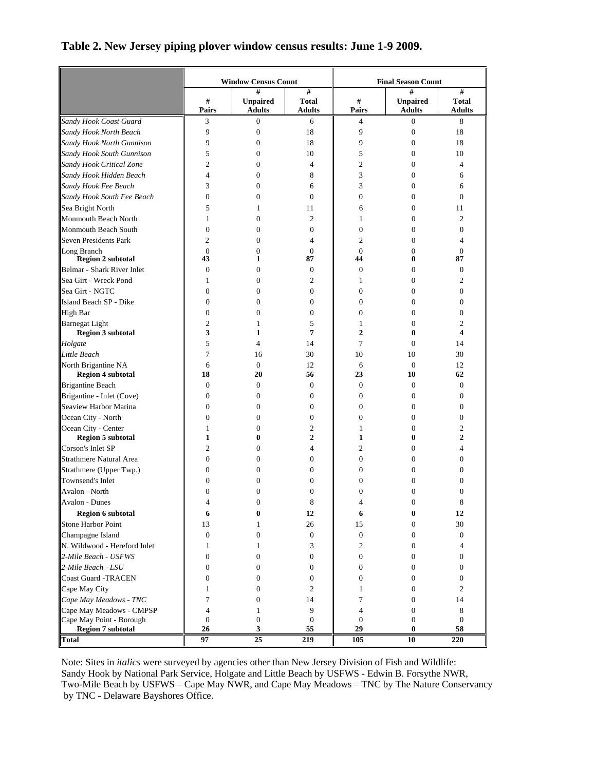## Window Census Count **Final Season Count # Pairs # Unpaired Adults # Total Adults # Pairs # Unpaired Adults # Total Adults**  *Sandy Hook Coast Guard* 3 0 6 4 0 8 *Sandy Hook North Beach* 9 0 18 9 0 18 *Sandy Hook North Gunnison* 9 0 18 9 0 18 *Sandy Hook South Gunnison* 5 0 10 5 0 10 *Sandy Hook Critical Zone* 2 0 4 2 0 4 *Sandy Hook Hidden Beach* 4 0 8 3 0 6 *Sandy Hook Fee Beach* 3 0 6 3 0 6 *Sandy Hook South Fee Beach*  $\begin{array}{|c|c|c|c|c|} \hline 0 & 0 & 0 & 0 & 0 \ \hline \end{array}$ Sea Bright North  $\begin{array}{|c|c|c|c|c|c|c|c|} \hline \end{array}$  5 1 11  $\begin{array}{|c|c|c|c|c|c|} \hline \end{array}$  6 0 11 Monmouth Beach North  $\begin{array}{|c|c|c|c|c|c|c|c|} \hline \end{array}$  1 0 2  $\begin{array}{|c|c|c|c|c|c|} \hline \end{array}$  1 0 2 Monmouth Beach South  $\begin{array}{ccccccc} \parallel & 0 & 0 & 0 & \parallel & 0 & 0 \end{array}$ Seven Presidents Park  $\begin{array}{|c|c|c|c|c|c|c|c|c|} \hline \end{array}$  2 0 4  $\begin{array}{|c|c|c|c|c|c|c|} \hline 2 & 0 & 4 & 2 & 0 & 4 \ \hline \end{array}$ Long Branch  $\begin{array}{ccccccccccc} \parallel & 0 & 0 & 0 & \parallel & 0 & 0 \end{array}$ **Region 2 subtotal**  43 1 87 **44** 0 87 Belmar - Shark River Inlet  $\begin{array}{|c|c|c|c|c|c|c|c|c|} \hline 0 & 0 & 0 & 0 & 0 \end{array}$ Sea Girt - Wreck Pond  $\begin{array}{ccc} 1 & 1 & 0 & 2 \end{array}$   $\begin{array}{ccc} 1 & 1 & 0 & 2 \end{array}$ Sea Girt - NGTC  $\begin{array}{|c|c|c|c|c|c|c|c|c|} \hline \multicolumn{1}{c|}{\text{Set}} & 0 & 0 & 0 & 0 & 0 \end{array}$ Island Beach SP - Dike  $\begin{array}{ccccccc} \parallel & 0 & 0 & 0 \end{array}$  0 0 0 0 0 High Bar  $\begin{array}{ccccccccccc} \parallel & 0 & 0 & 0 & \parallel & 0 & 0 & 0 \end{array}$ Barnegat Light 2 1 5 1 0 2 **Region 3 subtotal**  3 1 7 2 0 4 *Holgate* 5 4 14 7 0 14 *Little Beach* 7 16 30 10 10 30 North Brigantine NA 6 0 12 6 0 12 **Region 4 subtotal 18** 20 56 23 10 62 Brigantine Beach  $\begin{array}{ccccccc} \parallel & 0 & 0 & 0 & \parallel & 0 & 0 \end{array}$ Brigantine - Inlet (Cove)  $\begin{vmatrix} 0 & 0 & 0 \\ 0 & 0 & 0 \end{vmatrix}$  0 0 0 0 Seaview Harbor Marina  $\begin{array}{|c|c|c|c|c|c|c|c|c|} \hline \multicolumn{3}{c|}{0} & 0 & 0 & 0 & 0 \end{array}$ Ocean City - North  $\begin{array}{|c|c|c|c|c|c|c|c|} \hline \multicolumn{3}{c|}{\text{O}} & \multicolumn{3}{c|}{\text{O}} & \multicolumn{3}{c|}{\text{O}} & \multicolumn{3}{c|}{\text{O}} & \multicolumn{3}{c|}{\text{O}} & \multicolumn{3}{c|}{\text{O}} & \multicolumn{3}{c|}{\text{O}} & \multicolumn{3}{c|}{\text{O}} & \multicolumn{3}{c|}{\text{O}} & \multicolumn{3}{c|}{\text{O}} & \multicolumn{3}{c|}{\text{O}}$ Ocean City - Center  $\begin{array}{|c|c|c|c|c|c|c|c|c|} \hline \end{array}$  1 0 2  $\begin{array}{|c|c|c|c|c|c|c|c|} \hline \end{array}$  1 0 2 **Region 5 subtotal 1** 1 0 2 1 1 0 2 Corson's Inlet SP 2 0 4 2 0 4 Strathmere Natural Area 0 0 0 0 0 0 Strathmere (Upper Twp.) 0 0 0 0 0 0 Townsend's Inlet  $\begin{array}{ccccccc} \parallel & 0 & 0 & 0 & \parallel & 0 & 0 \end{array}$ Avalon - North  $\begin{array}{|c|c|c|c|c|c|c|c|} \hline \multicolumn{1}{c|}{0} & 0 & 0 & 0 & 0 \end{array}$ Avalon - Dunes  $\begin{array}{|c|c|c|c|c|c|} \hline & 4 & 0 & 8 & 4 & 0 & 8 \ \hline \end{array}$  **Region 6 subtotal 6 0 12 6 0 12**  Stone Harbor Point  $\begin{array}{|c|c|c|c|c|c|c|c|c|c|c|} \hline & & 13 & & 1 & & 26 & & 15 & & 0 & & 30 \\ \hline \end{array}$ Champagne Island 0 0 0 0 0 0 N. Wildwood - Hereford Inlet  $\begin{array}{|c|c|c|c|c|c|} \hline & 1 & 1 & 3 & 2 & 0 & 4 \ \hline \end{array}$ *2-Mile Beach - USFWS* 0 0 0 0 0 0 *2-Mile Beach - LSU* 0 0 0 0 0 0 Coast Guard -TRACEN  $\begin{array}{|c|c|c|c|c|c|c|c|c|} \hline \multicolumn{1}{c|}{\text{}} & 0 & 0 & 0 & 0 \\ \hline \multicolumn{1}{c|}{\text{}} & 0 & 0 & 0 & 0 \\ \hline \multicolumn{1}{c|}{\text{}} & 0 & 0 & 0 & 0 \\ \hline \multicolumn{1}{c|}{\text{}} & 0 & 0 & 0 & 0 \\ \hline \multicolumn{1}{c|}{\text{}} & 0 & 0 & 0 & 0 \\ \hline \multicolumn{1}{c|}{\text{}} & 0 & 0 &$ Cape May City  $\begin{array}{|c|c|c|c|c|c|c|c|} \hline & 1 & 0 & 2 & 1 & 0 & 2 \ \hline \end{array}$ *Cape May Meadows - TNC*  $\begin{array}{|c|c|c|c|c|} \hline \end{array}$  7 0 14  $\begin{array}{|c|c|c|c|c|} \hline \end{array}$  7 0 14 Cape May Meadows - CMPSP  $\begin{array}{|c|c|c|c|c|c|c|c|} \hline \end{array}$  4 1 9  $\begin{array}{|c|c|c|c|c|c|} \hline \end{array}$  4 0 8 Cape May Point - Borough 0 0 0 0 0 0 **Region 7 subtotal**  26 3 55 29 0 58 **Total 97 25 219 105 10 220**

## **Table 2. New Jersey piping plover window census results: June 1-9 2009.**

Note: Sites in *italics* were surveyed by agencies other than New Jersey Division of Fish and Wildlife: Sandy Hook by National Park Service, Holgate and Little Beach by USFWS - Edwin B. Forsythe NWR, Two-Mile Beach by USFWS – Cape May NWR, and Cape May Meadows – TNC by The Nature Conservancy by TNC - Delaware Bayshores Office.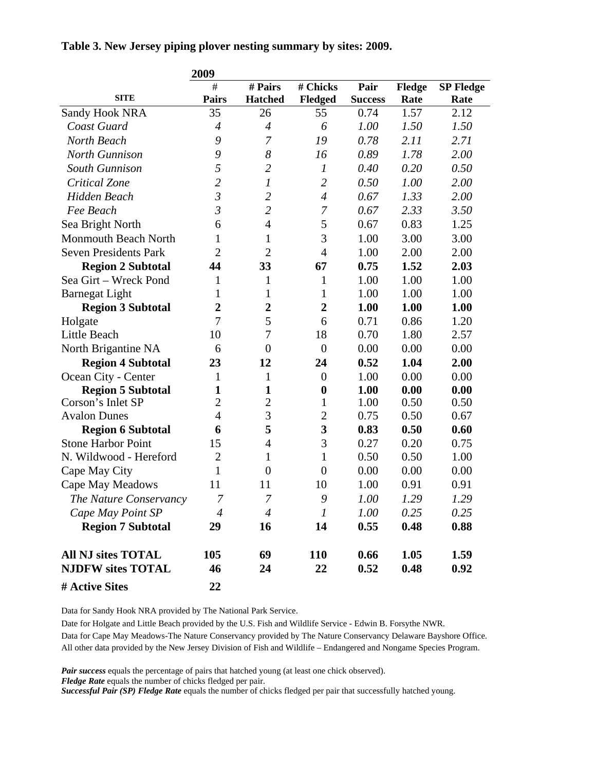**Table 3. New Jersey piping plover nesting summary by sites: 2009.** 

|                              | 2009           |                  |                             |                |        |                  |
|------------------------------|----------------|------------------|-----------------------------|----------------|--------|------------------|
|                              | #              | # Pairs          | # Chicks                    | Pair           | Fledge | <b>SP Fledge</b> |
| <b>SITE</b>                  | <b>Pairs</b>   | <b>Hatched</b>   | Fledged                     | <b>Success</b> | Rate   | Rate             |
| Sandy Hook NRA               | 35             | 26               | 55                          | 0.74           | 1.57   | 2.12             |
| Coast Guard                  | $\overline{4}$ | $\overline{4}$   | 6                           | 1.00           | 1.50   | 1.50             |
| North Beach                  | 9              | 7                | 19                          | 0.78           | 2.11   | 2.71             |
| <b>North Gunnison</b>        | 9              | 8                | 16                          | 0.89           | 1.78   | 2.00             |
| South Gunnison               | 5              | $\overline{2}$   | $\boldsymbol{l}$            | 0.40           | 0.20   | 0.50             |
| Critical Zone                | $\overline{c}$ | $\boldsymbol{l}$ | $\overline{c}$              | 0.50           | 1.00   | 2.00             |
| Hidden Beach                 | $\mathfrak{Z}$ | $\overline{2}$   | $\overline{4}$              | 0.67           | 1.33   | 2.00             |
| Fee Beach                    | $\mathfrak{Z}$ | $\overline{2}$   | $\mathcal I$                | 0.67           | 2.33   | 3.50             |
| Sea Bright North             | 6              | $\overline{4}$   | 5                           | 0.67           | 0.83   | 1.25             |
| Monmouth Beach North         | 1              | 1                | 3                           | 1.00           | 3.00   | 3.00             |
| <b>Seven Presidents Park</b> | $\overline{2}$ | $\overline{2}$   | $\overline{4}$              | 1.00           | 2.00   | 2.00             |
| <b>Region 2 Subtotal</b>     | 44             | 33               | 67                          | 0.75           | 1.52   | 2.03             |
| Sea Girt - Wreck Pond        | 1              | $\mathbf{1}$     | $\mathbf{1}$                | 1.00           | 1.00   | 1.00             |
| <b>Barnegat Light</b>        | 1              | $\mathbf{1}$     | $\mathbf{1}$                | 1.00           | 1.00   | 1.00             |
| <b>Region 3 Subtotal</b>     | $\overline{2}$ | $\boldsymbol{2}$ | $\overline{2}$              | 1.00           | 1.00   | 1.00             |
| Holgate                      | 7              | 5                | 6                           | 0.71           | 0.86   | 1.20             |
| Little Beach                 | 10             | $\tau$           | 18                          | 0.70           | 1.80   | 2.57             |
| North Brigantine NA          | 6              | $\overline{0}$   | $\overline{0}$              | 0.00           | 0.00   | 0.00             |
| <b>Region 4 Subtotal</b>     | 23             | 12               | 24                          | 0.52           | 1.04   | 2.00             |
| Ocean City - Center          | 1              | $\mathbf{1}$     | $\boldsymbol{0}$            | 1.00           | 0.00   | 0.00             |
| <b>Region 5 Subtotal</b>     | $\mathbf{1}$   | $\mathbf{1}$     | $\boldsymbol{0}$            | 1.00           | 0.00   | 0.00             |
| Corson's Inlet SP            | $\overline{2}$ | $\overline{c}$   | $\mathbf{1}$                | 1.00           | 0.50   | 0.50             |
| <b>Avalon Dunes</b>          | $\overline{4}$ | 3                | $\overline{c}$              | 0.75           | 0.50   | 0.67             |
| <b>Region 6 Subtotal</b>     | 6              | 5                | 3                           | 0.83           | 0.50   | 0.60             |
| <b>Stone Harbor Point</b>    | 15             | $\overline{4}$   | 3                           | 0.27           | 0.20   | 0.75             |
| N. Wildwood - Hereford       | $\overline{2}$ | $\mathbf{1}$     | $\mathbf{1}$                | 0.50           | 0.50   | 1.00             |
| Cape May City                | $\mathbf{1}$   | $\overline{0}$   | $\boldsymbol{0}$            | 0.00           | 0.00   | 0.00             |
| Cape May Meadows             | 11             | 11               | 10                          | 1.00           | 0.91   | 0.91             |
| The Nature Conservancy       | 7              | 7                | 9                           | 1.00           | 1.29   | 1.29             |
| Cape May Point SP            | 4              | $\overline{4}$   | $\mathcal{I}_{\mathcal{I}}$ | 1.00           | 0.25   | 0.25             |
| <b>Region 7 Subtotal</b>     | 29             | 16               | 14                          | 0.55           | 0.48   | 0.88             |
| <b>All NJ sites TOTAL</b>    | 105            | 69               | <b>110</b>                  | 0.66           | 1.05   | 1.59             |
| <b>NJDFW sites TOTAL</b>     | 46             | 24               | 22                          | 0.52           | 0.48   | 0.92             |
| # Active Sites               | 22             |                  |                             |                |        |                  |

Data for Sandy Hook NRA provided by The National Park Service.

Date for Holgate and Little Beach provided by the U.S. Fish and Wildlife Service - Edwin B. Forsythe NWR. Data for Cape May Meadows-The Nature Conservancy provided by The Nature Conservancy Delaware Bayshore Office. All other data provided by the New Jersey Division of Fish and Wildlife – Endangered and Nongame Species Program.

*Pair success* equals the percentage of pairs that hatched young (at least one chick observed).

*Fledge Rate* equals the number of chicks fledged per pair.

*Successful Pair (SP) Fledge Rate* equals the number of chicks fledged per pair that successfully hatched young.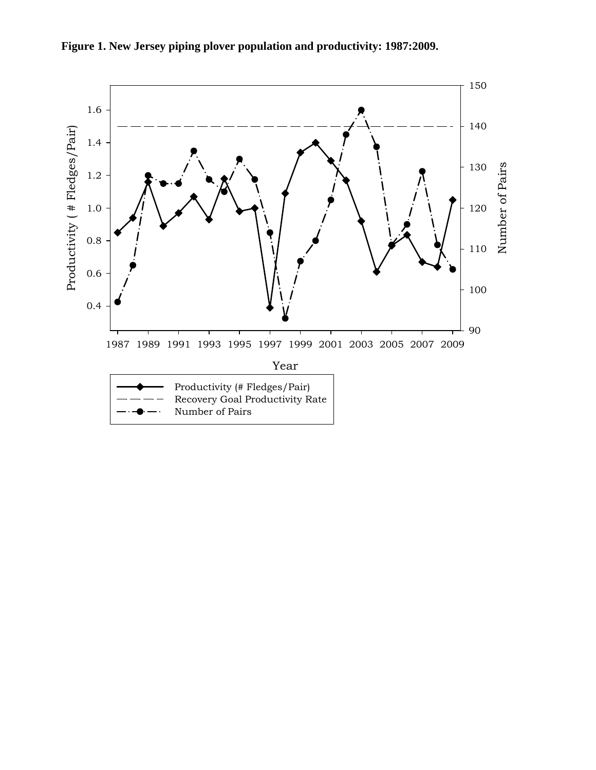